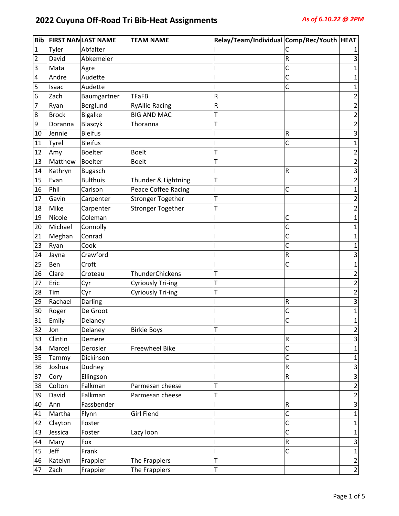| <b>Bib</b> |              | <b>FIRST NANLAST NAME</b> | <b>TEAM NAME</b>         | Relay/Team/Individual Comp/Rec/Youth HEAT |           |                |
|------------|--------------|---------------------------|--------------------------|-------------------------------------------|-----------|----------------|
| 1          | Tyler        | Abfalter                  |                          |                                           | С         |                |
| 2          | David        | Abkemeier                 |                          |                                           | R         | 3              |
| 3          | Mata         | Agre                      |                          |                                           | C         | 1              |
| 4          | Andre        | Audette                   |                          |                                           | C         | 1              |
| 5          | Isaac        | Audette                   |                          |                                           | С         | 1              |
| 6          | Zach         | Baumgartner               | <b>TFaFB</b>             | $\sf R$                                   |           | 2              |
| 7          | Ryan         | Berglund                  | <b>RyAllie Racing</b>    | R                                         |           | 2              |
| 8          | <b>Brock</b> | <b>Bigalke</b>            | <b>BIG AND MAC</b>       | T                                         |           | $\overline{2}$ |
| 9          | Doranna      | Blascyk                   | Thoranna                 |                                           |           | $\overline{c}$ |
| 10         | Jennie       | <b>Bleifus</b>            |                          |                                           | R         | 3              |
| 11         | Tyrel        | <b>Bleifus</b>            |                          |                                           | C         | 1              |
| 12         | Amy          | <b>Boelter</b>            | <b>Boelt</b>             | т                                         |           | 2              |
| 13         | Matthew      | <b>Boelter</b>            | <b>Boelt</b>             |                                           |           | $\overline{c}$ |
| 14         | Kathryn      | <b>Bugasch</b>            |                          |                                           | R         | 3              |
| 15         | Evan         | <b>Bulthuis</b>           | Thunder & Lightning      | т                                         |           | $\overline{2}$ |
| 16         | Phil         | Carlson                   | Peace Coffee Racing      |                                           | C         | 1              |
| 17         | Gavin        | Carpenter                 | <b>Stronger Together</b> |                                           |           | $\overline{2}$ |
| 18         | Mike         | Carpenter                 | <b>Stronger Together</b> |                                           |           | 2              |
| 19         | Nicole       | Coleman                   |                          |                                           | С         | 1              |
| 20         | Michael      | Connolly                  |                          |                                           | C         | 1              |
| 21         | Meghan       | Conrad                    |                          |                                           | C         | 1              |
| 23         | Ryan         | Cook                      |                          |                                           | C         | 1              |
| 24         | Jayna        | Crawford                  |                          |                                           | R         | 3              |
| 25         | Ben          | Croft                     |                          |                                           | C         | 1              |
| 26         | Clare        | Croteau                   | ThunderChickens          |                                           |           | 2              |
| 27         | Eric         | Cyr                       | <b>Cyriously Tri-ing</b> | T                                         |           | $\overline{2}$ |
| 28         | Tim          | Cyr                       | <b>Cyriously Tri-ing</b> | т                                         |           | $\overline{c}$ |
| 29         | Rachael      | Darling                   |                          |                                           | R         | 3              |
| 30         | Roger        | De Groot                  |                          |                                           | С         | 1              |
| 31         | Emily        | Delaney                   |                          |                                           | C         | 1              |
| 32         | Jon          | Delaney                   | <b>Birkie Boys</b>       | Τ                                         |           | $\overline{2}$ |
| 33         | Clintin      | Demere                    |                          |                                           | R         | 3              |
| 34         | Marcel       | Derosier                  | Freewheel Bike           |                                           | C         | $\mathbf{1}$   |
| 35         | Tammy        | Dickinson                 |                          |                                           | C         | 1              |
| 36         | Joshua       | Dudney                    |                          |                                           | ${\sf R}$ | 3              |
| 37         | Cory         | Ellingson                 |                          |                                           | R         | 3              |
| 38         | Colton       | Falkman                   | Parmesan cheese          | T                                         |           | $\overline{2}$ |
| 39         | David        | Falkman                   | Parmesan cheese          | Т                                         |           | $\overline{2}$ |
| 40         | Ann          | Fassbender                |                          |                                           | ${\sf R}$ | 3              |
| 41         | Martha       | Flynn                     | <b>Girl Fiend</b>        |                                           | C         | $\mathbf{1}$   |
| 42         | Clayton      | Foster                    |                          |                                           | C         | 1              |
| 43         | Jessica      | Foster                    | Lazy loon                |                                           | C         | $\mathbf{1}$   |
| 44         | Mary         | Fox                       |                          |                                           | ${\sf R}$ | 3              |
| 45         | Jeff         | Frank                     |                          |                                           | С         | $\mathbf 1$    |
| 46         | Katelyn      | Frappier                  | The Frappiers            | T                                         |           | $\mathbf 2$    |
| 47         | Zach         | Frappier                  | The Frappiers            | T                                         |           | $\overline{2}$ |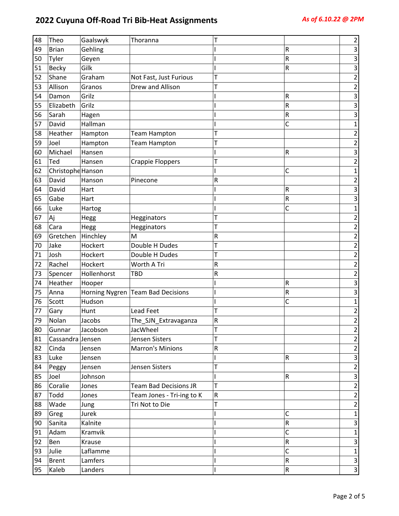| 48 | Theo              | Gaalswyk       | Thoranna                     | Τ         |              | 2                       |
|----|-------------------|----------------|------------------------------|-----------|--------------|-------------------------|
| 49 | <b>Brian</b>      | Gehling        |                              |           | R            | 3                       |
| 50 | Tyler             | Geyen          |                              |           | ${\sf R}$    | 3                       |
| 51 | <b>Becky</b>      | Gilk           |                              |           | R            | 3                       |
| 52 | Shane             | Graham         | Not Fast, Just Furious       | T         |              | 2                       |
| 53 | Allison           | Granos         | Drew and Allison             | т         |              | 2                       |
| 54 | Damon             | Grilz          |                              |           | R            | 3                       |
| 55 | Elizabeth         | Grilz          |                              |           | R            | 3                       |
| 56 | Sarah             | Hagen          |                              |           | R            | 3                       |
| 57 | David             | Hallman        |                              |           | C            | $\mathbf{1}$            |
| 58 | Heather           | Hampton        | <b>Team Hampton</b>          | т         |              | 2                       |
| 59 | Joel              | Hampton        | <b>Team Hampton</b>          | Τ         |              | $\overline{2}$          |
| 60 | Michael           | Hansen         |                              |           | R            | 3                       |
| 61 | Ted               | Hansen         | <b>Crappie Floppers</b>      | Т         |              | $\overline{2}$          |
| 62 | Christophe Hanson |                |                              |           | С            | $\mathbf 1$             |
| 63 | David             | Hanson         | Pinecone                     | R         |              | 2                       |
| 64 | David             | Hart           |                              |           | R            | 3                       |
| 65 | Gabe              | Hart           |                              |           | R            | 3                       |
| 66 | Luke              | Hartog         |                              |           | C            | $\mathbf{1}$            |
| 67 | Aj                | Hegg           | Hegginators                  | Т         |              | 2                       |
| 68 | Cara              | Hegg           | Hegginators                  | Т         |              | $\overline{2}$          |
| 69 | Gretchen          | Hinchley       | M                            | R         |              | $\overline{2}$          |
| 70 | Jake              | Hockert        | Double H Dudes               | T         |              | $\overline{2}$          |
| 71 | Josh              | Hockert        | Double H Dudes               | Т         |              | $\overline{\mathbf{c}}$ |
| 72 | Rachel            | Hockert        | Worth A Tri                  | $\sf R$   |              | $\overline{\mathbf{c}}$ |
| 73 | Spencer           | Hollenhorst    | TBD                          | R         |              | $\overline{2}$          |
| 74 | Heather           | Hooper         |                              |           | R            | 3                       |
| 75 | Anna              | Horning Nygren | <b>Team Bad Decisions</b>    |           | R            | 3                       |
| 76 | Scott             | Hudson         |                              |           | C            | 1                       |
| 77 | Gary              | Hunt           | <b>Lead Feet</b>             | T         |              | $\overline{2}$          |
| 79 | Nolan             | Jacobs         | The_SJN_Extravaganza         | R         |              | $\overline{2}$          |
| 80 | Gunnar            | Jacobson       | JacWheel                     | Т         |              | $\mathbf{2}$            |
| 81 | Cassandra Jensen  |                | Jensen Sisters               | T         |              | $\mathbf 2$             |
| 82 | Cinda             | Jensen         | <b>Marron's Minions</b>      | ${\sf R}$ |              | $\overline{2}$          |
| 83 | Luke              | Jensen         |                              |           | $\mathsf R$  | $\overline{3}$          |
| 84 | Peggy             | Jensen         | Jensen Sisters               | T         |              | $\overline{2}$          |
| 85 | Joel              | Johnson        |                              |           | R            | $\mathsf 3$             |
| 86 | Coralie           | Jones          | <b>Team Bad Decisions JR</b> | T         |              | $\overline{2}$          |
| 87 | Todd              | Jones          | Team Jones - Tri-ing to K    | ${\sf R}$ |              | $\overline{2}$          |
| 88 | Wade              | Jung           | Tri Not to Die               | T         |              | $\overline{2}$          |
| 89 | Greg              | Jurek          |                              |           | C            | $\mathbf{1}$            |
| 90 | Sanita            | Kalnite        |                              |           | ${\sf R}$    | $\mathsf 3$             |
| 91 | Adam              | Kramvik        |                              |           | $\mathsf{C}$ | $\mathbf{1}$            |
| 92 | Ben               | Krause         |                              |           | ${\sf R}$    | 3                       |
| 93 | Julie             | Laflamme       |                              |           | $\mathsf{C}$ | $\mathbf{1}$            |
| 94 | <b>Brent</b>      | Lamfers        |                              |           | $\sf R$      | $\mathsf 3$             |
|    |                   |                |                              |           |              |                         |
| 95 | Kaleb             | Landers        |                              |           | ${\sf R}$    | $\mathbf{3}$            |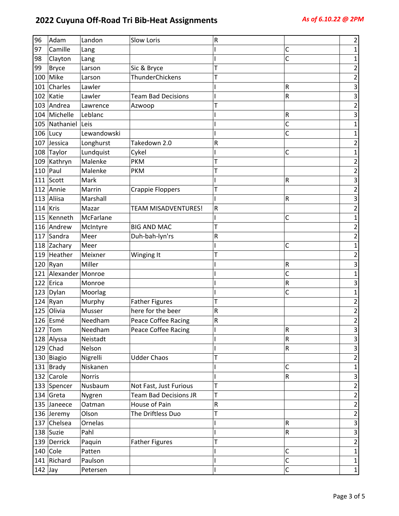| 96        | Adam               | Landon        | <b>Slow Loris</b>            | R         |                | $\overline{2}$          |
|-----------|--------------------|---------------|------------------------------|-----------|----------------|-------------------------|
| 97        | Camille            | Lang          |                              |           | С              | $\mathbf{1}$            |
| 98        | Clayton            | Lang          |                              |           | C              | 1                       |
| 99        | <b>Bryce</b>       | Larson        | Sic & Bryce                  | T         |                | $\overline{\mathbf{c}}$ |
| 100       | Mike               | Larson        | ThunderChickens              |           |                | $\overline{c}$          |
| 101       | Charles            | Lawler        |                              |           | R              | 3                       |
| 102       | Katie              | Lawler        | <b>Team Bad Decisions</b>    |           | ${\sf R}$      | 3                       |
|           | 103 Andrea         | Lawrence      | Azwoop                       | т         |                | $\overline{\mathbf{c}}$ |
|           | 104 Michelle       | Leblanc       |                              |           | R              | 3                       |
|           | 105 Nathaniel Leis |               |                              |           | C              | 1                       |
| 106       | Lucy               | Lewandowski   |                              |           | C              | 1                       |
| 107       | Jessica            | Longhurst     | Takedown 2.0                 | ${\sf R}$ |                | $\overline{\mathbf{c}}$ |
|           | 108 Taylor         | Lundquist     | Cykel                        |           | C              | 1                       |
|           | 109 Kathryn        | Malenke       | <b>PKM</b>                   | Т         |                | 2                       |
| 110       | Paul               | Malenke       | <b>PKM</b>                   | T         |                | 2                       |
|           | 111 $S$ cott       | Mark          |                              |           | R              | 3                       |
|           | 112 Annie          | Marrin        | Crappie Floppers             | T         |                | $\overline{\mathbf{c}}$ |
| 113       | Aliisa             | Marshall      |                              |           | R              | 3                       |
| 114       | Kris               | Mazar         | <b>TEAM MISADVENTURES!</b>   | ${\sf R}$ |                | $\overline{\mathbf{c}}$ |
| 115       | Kenneth            | McFarlane     |                              |           | C              | $\mathbf 1$             |
| 116       | Andrew             | McIntyre      | <b>BIG AND MAC</b>           | Т         |                | $\overline{\mathbf{c}}$ |
| 117       | Sandra             | Meer          | Duh-bah-lyn'rs               | R         |                | $\overline{2}$          |
|           | 118 Zachary        | Meer          |                              |           | С              | 1                       |
| 119       | Heather            | Meixner       | Winging It                   | T         |                | 2                       |
|           | $120$ Ryan         | Miller        |                              |           | R              | 3                       |
| 121       | Alexander Monroe   |               |                              |           | C              | 1                       |
| 122       | Erica              | Monroe        |                              |           | R              | 3                       |
|           | 123 Dylan          | Moorlag       |                              |           | C              | 1                       |
| 124       | Ryan               | Murphy        | <b>Father Figures</b>        | T         |                | 2                       |
| 125       | Olivia             | Musser        | here for the beer            | R         |                | $\overline{c}$          |
|           | 126 Esmé           | Needham       | <b>Peace Coffee Racing</b>   | R         |                | $\overline{2}$          |
|           | $127$ Tom          | Needham       | Peace Coffee Racing          |           | R              | 3                       |
|           | 128 Alyssa         | Neistadt      |                              |           | R              | 3                       |
|           | $129$ Chad         | Nelson        |                              |           | ${\sf R}$      | $\overline{\mathbf{3}}$ |
|           | 130 Biagio         | Nigrelli      | <b>Udder Chaos</b>           | T         |                | 2                       |
|           | 131 $Brady$        | Niskanen      |                              |           | С              | 1                       |
|           | 132 Carole         | <b>Norris</b> |                              |           | R              | 3                       |
|           | 133 Spencer        | Nusbaum       | Not Fast, Just Furious       | T         |                | 2                       |
|           | 134 Greta          | Nygren        | <b>Team Bad Decisions JR</b> | Т         |                | $\overline{c}$          |
|           | 135 Janeece        | Oatman        | House of Pain                | ${\sf R}$ |                | $\sqrt{2}$              |
|           | 136 Jeremy         | Olson         | The Driftless Duo            | T         |                | $\overline{2}$          |
|           | 137 Chelsea        | Ornelas       |                              |           | R              | 3                       |
|           | 138 Suzie          | Pahl          |                              |           | ${\sf R}$      | $\mathsf 3$             |
|           | 139 Derrick        | Paquin        | <b>Father Figures</b>        |           |                | 2                       |
|           | $140$ Cole         | Patten        |                              |           | С              | $\mathbf 1$             |
|           | 141 Richard        | Paulson       |                              |           | $\mathsf{C}$   | $\mathbf 1$             |
| $142$ Jay |                    | Petersen      |                              |           | $\overline{C}$ | $\mathbf 1$             |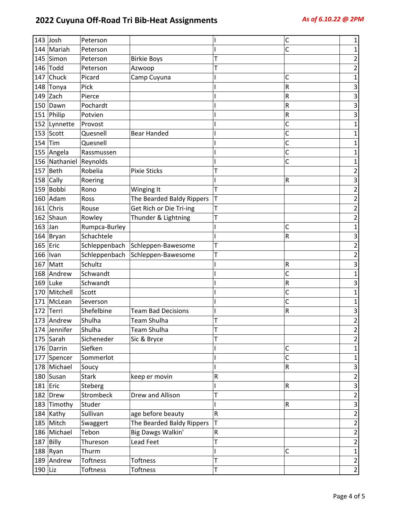| Mariah<br>C<br>144<br>Peterson<br>1<br>Simon<br>145<br>2<br><b>Birkie Boys</b><br>т<br>Peterson<br>Todd<br>146<br>$\overline{2}$<br>Peterson<br>т<br>Azwoop<br>Chuck<br>147<br>Picard<br>Camp Cuyuna<br>С<br>1<br>Tonya<br>R<br>148<br>Pick<br>3<br>Zach<br>3<br>149<br>Pierce<br>R<br>Pochardt<br>R<br>150<br>Dawn<br>3<br>151<br>Philip<br>R<br>3<br>Potvien<br>C<br>152<br>Lynnette<br>Provost<br>1<br>Scott<br>153<br>C<br>Quesnell<br><b>Bear Handed</b><br>1<br>Quesnell<br>154<br>Tim<br>C<br>1<br>C<br>155<br>Angela<br>Rassmussen<br>1<br>156<br>Nathaniel Reynolds<br>C<br>1<br>157<br>Beth<br>Robelia<br><b>Pixie Sticks</b><br>т<br>2<br>Cally<br>158<br>R<br>3<br>Roering<br>Bobbi<br>159<br>T<br>$\overline{\mathbf{c}}$<br>Rono<br>Winging It<br>Adam<br>T<br>160<br>The Bearded Baldy Rippers<br>$\overline{c}$<br>Ross<br>Chris<br>$\overline{\mathbf{c}}$<br>161<br>Get Rich or Die Tri-ing<br>Т<br>Rouse<br>162<br>Shaun<br>Thunder & Lightning<br>$\overline{2}$<br>T<br>Rowley<br>163<br>Jan<br>Rumpca-Burley<br>C<br>$\mathbf{1}$<br>Schachtele<br>164<br>Bryan<br>3<br>R<br>165<br>Eric<br>Schleppenbach<br>T<br>Schleppen-Bawesome<br>$\overline{c}$<br>166<br>Schleppenbach<br>Schleppen-Bawesome<br>Т<br>2<br>Ivan<br>Schultz<br>167<br>Matt<br>3<br>R<br>C<br>Schwandt<br>168<br>Andrew<br>1<br>169<br>Luke<br>Schwandt<br>3<br>R<br>C<br>Mitchell<br>170<br>Scott<br>1<br>C<br>171<br>McLean<br>Severson<br>1<br>Shefelbine<br>172<br>Terri<br><b>Team Bad Decisions</b><br>R<br>3<br>Shulha<br><b>Team Shulha</b><br>2<br>173<br>Andrew<br>174 Jennifer<br>Shulha<br>Team Shulha<br>$\overline{2}$<br>Τ<br>175 Sarah<br>T<br>$\overline{2}$<br>Sicheneder<br>Sic & Bryce<br>176 Darrin<br>Siefken<br>C<br>1<br>Sommerlot<br>C<br>177 Spencer<br>$\mathbf{1}$<br>${\sf R}$<br>178 Michael<br>$\mathsf 3$<br>Soucy<br>180 Susan<br><b>Stark</b><br>$\overline{\mathbf{c}}$<br>${\sf R}$<br>keep er movin<br>$\mathbf{3}$<br>181 Eric<br>Steberg<br>R<br>Strombeck<br>Drew and Allison<br>$\overline{2}$<br>182 Drew<br>т<br>183 Timothy<br>$\mathsf 3$<br>Studer<br>R<br>${\sf R}$<br>$\overline{2}$<br>184 Kathy<br>Sullivan<br>age before beauty<br>$\mathbf 2$<br>185 Mitch<br>The Bearded Baldy Rippers<br>T<br>Swaggert<br>186 Michael<br>Big Dawgs Walkin'<br>Tebon<br>${\sf R}$<br>$\mathbf 2$<br>$\sqrt{2}$<br>187 Billy<br>Lead Feet<br>T<br>Thureson<br>$188$ Ryan<br>$\mathbf 1$<br>Thurm<br>C<br>T<br>$\mathbf 2$<br>189 Andrew<br>Toftness<br>Toftness<br>190 Liz | 143 Josh | Peterson |          |   | C | 1              |
|-----------------------------------------------------------------------------------------------------------------------------------------------------------------------------------------------------------------------------------------------------------------------------------------------------------------------------------------------------------------------------------------------------------------------------------------------------------------------------------------------------------------------------------------------------------------------------------------------------------------------------------------------------------------------------------------------------------------------------------------------------------------------------------------------------------------------------------------------------------------------------------------------------------------------------------------------------------------------------------------------------------------------------------------------------------------------------------------------------------------------------------------------------------------------------------------------------------------------------------------------------------------------------------------------------------------------------------------------------------------------------------------------------------------------------------------------------------------------------------------------------------------------------------------------------------------------------------------------------------------------------------------------------------------------------------------------------------------------------------------------------------------------------------------------------------------------------------------------------------------------------------------------------------------------------------------------------------------------------------------------------------------------------------------------------------------------------------------------------------------------------------------------------------------------------------------------------------------------------------------------------------------------------------------------------------------------------------------------------------------------------------------------------------------------------------------------------------------------------------------------------------|----------|----------|----------|---|---|----------------|
|                                                                                                                                                                                                                                                                                                                                                                                                                                                                                                                                                                                                                                                                                                                                                                                                                                                                                                                                                                                                                                                                                                                                                                                                                                                                                                                                                                                                                                                                                                                                                                                                                                                                                                                                                                                                                                                                                                                                                                                                                                                                                                                                                                                                                                                                                                                                                                                                                                                                                                           |          |          |          |   |   |                |
|                                                                                                                                                                                                                                                                                                                                                                                                                                                                                                                                                                                                                                                                                                                                                                                                                                                                                                                                                                                                                                                                                                                                                                                                                                                                                                                                                                                                                                                                                                                                                                                                                                                                                                                                                                                                                                                                                                                                                                                                                                                                                                                                                                                                                                                                                                                                                                                                                                                                                                           |          |          |          |   |   |                |
|                                                                                                                                                                                                                                                                                                                                                                                                                                                                                                                                                                                                                                                                                                                                                                                                                                                                                                                                                                                                                                                                                                                                                                                                                                                                                                                                                                                                                                                                                                                                                                                                                                                                                                                                                                                                                                                                                                                                                                                                                                                                                                                                                                                                                                                                                                                                                                                                                                                                                                           |          |          |          |   |   |                |
|                                                                                                                                                                                                                                                                                                                                                                                                                                                                                                                                                                                                                                                                                                                                                                                                                                                                                                                                                                                                                                                                                                                                                                                                                                                                                                                                                                                                                                                                                                                                                                                                                                                                                                                                                                                                                                                                                                                                                                                                                                                                                                                                                                                                                                                                                                                                                                                                                                                                                                           |          |          |          |   |   |                |
|                                                                                                                                                                                                                                                                                                                                                                                                                                                                                                                                                                                                                                                                                                                                                                                                                                                                                                                                                                                                                                                                                                                                                                                                                                                                                                                                                                                                                                                                                                                                                                                                                                                                                                                                                                                                                                                                                                                                                                                                                                                                                                                                                                                                                                                                                                                                                                                                                                                                                                           |          |          |          |   |   |                |
|                                                                                                                                                                                                                                                                                                                                                                                                                                                                                                                                                                                                                                                                                                                                                                                                                                                                                                                                                                                                                                                                                                                                                                                                                                                                                                                                                                                                                                                                                                                                                                                                                                                                                                                                                                                                                                                                                                                                                                                                                                                                                                                                                                                                                                                                                                                                                                                                                                                                                                           |          |          |          |   |   |                |
|                                                                                                                                                                                                                                                                                                                                                                                                                                                                                                                                                                                                                                                                                                                                                                                                                                                                                                                                                                                                                                                                                                                                                                                                                                                                                                                                                                                                                                                                                                                                                                                                                                                                                                                                                                                                                                                                                                                                                                                                                                                                                                                                                                                                                                                                                                                                                                                                                                                                                                           |          |          |          |   |   |                |
|                                                                                                                                                                                                                                                                                                                                                                                                                                                                                                                                                                                                                                                                                                                                                                                                                                                                                                                                                                                                                                                                                                                                                                                                                                                                                                                                                                                                                                                                                                                                                                                                                                                                                                                                                                                                                                                                                                                                                                                                                                                                                                                                                                                                                                                                                                                                                                                                                                                                                                           |          |          |          |   |   |                |
|                                                                                                                                                                                                                                                                                                                                                                                                                                                                                                                                                                                                                                                                                                                                                                                                                                                                                                                                                                                                                                                                                                                                                                                                                                                                                                                                                                                                                                                                                                                                                                                                                                                                                                                                                                                                                                                                                                                                                                                                                                                                                                                                                                                                                                                                                                                                                                                                                                                                                                           |          |          |          |   |   |                |
|                                                                                                                                                                                                                                                                                                                                                                                                                                                                                                                                                                                                                                                                                                                                                                                                                                                                                                                                                                                                                                                                                                                                                                                                                                                                                                                                                                                                                                                                                                                                                                                                                                                                                                                                                                                                                                                                                                                                                                                                                                                                                                                                                                                                                                                                                                                                                                                                                                                                                                           |          |          |          |   |   |                |
|                                                                                                                                                                                                                                                                                                                                                                                                                                                                                                                                                                                                                                                                                                                                                                                                                                                                                                                                                                                                                                                                                                                                                                                                                                                                                                                                                                                                                                                                                                                                                                                                                                                                                                                                                                                                                                                                                                                                                                                                                                                                                                                                                                                                                                                                                                                                                                                                                                                                                                           |          |          |          |   |   |                |
|                                                                                                                                                                                                                                                                                                                                                                                                                                                                                                                                                                                                                                                                                                                                                                                                                                                                                                                                                                                                                                                                                                                                                                                                                                                                                                                                                                                                                                                                                                                                                                                                                                                                                                                                                                                                                                                                                                                                                                                                                                                                                                                                                                                                                                                                                                                                                                                                                                                                                                           |          |          |          |   |   |                |
|                                                                                                                                                                                                                                                                                                                                                                                                                                                                                                                                                                                                                                                                                                                                                                                                                                                                                                                                                                                                                                                                                                                                                                                                                                                                                                                                                                                                                                                                                                                                                                                                                                                                                                                                                                                                                                                                                                                                                                                                                                                                                                                                                                                                                                                                                                                                                                                                                                                                                                           |          |          |          |   |   |                |
|                                                                                                                                                                                                                                                                                                                                                                                                                                                                                                                                                                                                                                                                                                                                                                                                                                                                                                                                                                                                                                                                                                                                                                                                                                                                                                                                                                                                                                                                                                                                                                                                                                                                                                                                                                                                                                                                                                                                                                                                                                                                                                                                                                                                                                                                                                                                                                                                                                                                                                           |          |          |          |   |   |                |
|                                                                                                                                                                                                                                                                                                                                                                                                                                                                                                                                                                                                                                                                                                                                                                                                                                                                                                                                                                                                                                                                                                                                                                                                                                                                                                                                                                                                                                                                                                                                                                                                                                                                                                                                                                                                                                                                                                                                                                                                                                                                                                                                                                                                                                                                                                                                                                                                                                                                                                           |          |          |          |   |   |                |
|                                                                                                                                                                                                                                                                                                                                                                                                                                                                                                                                                                                                                                                                                                                                                                                                                                                                                                                                                                                                                                                                                                                                                                                                                                                                                                                                                                                                                                                                                                                                                                                                                                                                                                                                                                                                                                                                                                                                                                                                                                                                                                                                                                                                                                                                                                                                                                                                                                                                                                           |          |          |          |   |   |                |
|                                                                                                                                                                                                                                                                                                                                                                                                                                                                                                                                                                                                                                                                                                                                                                                                                                                                                                                                                                                                                                                                                                                                                                                                                                                                                                                                                                                                                                                                                                                                                                                                                                                                                                                                                                                                                                                                                                                                                                                                                                                                                                                                                                                                                                                                                                                                                                                                                                                                                                           |          |          |          |   |   |                |
|                                                                                                                                                                                                                                                                                                                                                                                                                                                                                                                                                                                                                                                                                                                                                                                                                                                                                                                                                                                                                                                                                                                                                                                                                                                                                                                                                                                                                                                                                                                                                                                                                                                                                                                                                                                                                                                                                                                                                                                                                                                                                                                                                                                                                                                                                                                                                                                                                                                                                                           |          |          |          |   |   |                |
|                                                                                                                                                                                                                                                                                                                                                                                                                                                                                                                                                                                                                                                                                                                                                                                                                                                                                                                                                                                                                                                                                                                                                                                                                                                                                                                                                                                                                                                                                                                                                                                                                                                                                                                                                                                                                                                                                                                                                                                                                                                                                                                                                                                                                                                                                                                                                                                                                                                                                                           |          |          |          |   |   |                |
|                                                                                                                                                                                                                                                                                                                                                                                                                                                                                                                                                                                                                                                                                                                                                                                                                                                                                                                                                                                                                                                                                                                                                                                                                                                                                                                                                                                                                                                                                                                                                                                                                                                                                                                                                                                                                                                                                                                                                                                                                                                                                                                                                                                                                                                                                                                                                                                                                                                                                                           |          |          |          |   |   |                |
|                                                                                                                                                                                                                                                                                                                                                                                                                                                                                                                                                                                                                                                                                                                                                                                                                                                                                                                                                                                                                                                                                                                                                                                                                                                                                                                                                                                                                                                                                                                                                                                                                                                                                                                                                                                                                                                                                                                                                                                                                                                                                                                                                                                                                                                                                                                                                                                                                                                                                                           |          |          |          |   |   |                |
|                                                                                                                                                                                                                                                                                                                                                                                                                                                                                                                                                                                                                                                                                                                                                                                                                                                                                                                                                                                                                                                                                                                                                                                                                                                                                                                                                                                                                                                                                                                                                                                                                                                                                                                                                                                                                                                                                                                                                                                                                                                                                                                                                                                                                                                                                                                                                                                                                                                                                                           |          |          |          |   |   |                |
|                                                                                                                                                                                                                                                                                                                                                                                                                                                                                                                                                                                                                                                                                                                                                                                                                                                                                                                                                                                                                                                                                                                                                                                                                                                                                                                                                                                                                                                                                                                                                                                                                                                                                                                                                                                                                                                                                                                                                                                                                                                                                                                                                                                                                                                                                                                                                                                                                                                                                                           |          |          |          |   |   |                |
|                                                                                                                                                                                                                                                                                                                                                                                                                                                                                                                                                                                                                                                                                                                                                                                                                                                                                                                                                                                                                                                                                                                                                                                                                                                                                                                                                                                                                                                                                                                                                                                                                                                                                                                                                                                                                                                                                                                                                                                                                                                                                                                                                                                                                                                                                                                                                                                                                                                                                                           |          |          |          |   |   |                |
|                                                                                                                                                                                                                                                                                                                                                                                                                                                                                                                                                                                                                                                                                                                                                                                                                                                                                                                                                                                                                                                                                                                                                                                                                                                                                                                                                                                                                                                                                                                                                                                                                                                                                                                                                                                                                                                                                                                                                                                                                                                                                                                                                                                                                                                                                                                                                                                                                                                                                                           |          |          |          |   |   |                |
|                                                                                                                                                                                                                                                                                                                                                                                                                                                                                                                                                                                                                                                                                                                                                                                                                                                                                                                                                                                                                                                                                                                                                                                                                                                                                                                                                                                                                                                                                                                                                                                                                                                                                                                                                                                                                                                                                                                                                                                                                                                                                                                                                                                                                                                                                                                                                                                                                                                                                                           |          |          |          |   |   |                |
|                                                                                                                                                                                                                                                                                                                                                                                                                                                                                                                                                                                                                                                                                                                                                                                                                                                                                                                                                                                                                                                                                                                                                                                                                                                                                                                                                                                                                                                                                                                                                                                                                                                                                                                                                                                                                                                                                                                                                                                                                                                                                                                                                                                                                                                                                                                                                                                                                                                                                                           |          |          |          |   |   |                |
|                                                                                                                                                                                                                                                                                                                                                                                                                                                                                                                                                                                                                                                                                                                                                                                                                                                                                                                                                                                                                                                                                                                                                                                                                                                                                                                                                                                                                                                                                                                                                                                                                                                                                                                                                                                                                                                                                                                                                                                                                                                                                                                                                                                                                                                                                                                                                                                                                                                                                                           |          |          |          |   |   |                |
|                                                                                                                                                                                                                                                                                                                                                                                                                                                                                                                                                                                                                                                                                                                                                                                                                                                                                                                                                                                                                                                                                                                                                                                                                                                                                                                                                                                                                                                                                                                                                                                                                                                                                                                                                                                                                                                                                                                                                                                                                                                                                                                                                                                                                                                                                                                                                                                                                                                                                                           |          |          |          |   |   |                |
|                                                                                                                                                                                                                                                                                                                                                                                                                                                                                                                                                                                                                                                                                                                                                                                                                                                                                                                                                                                                                                                                                                                                                                                                                                                                                                                                                                                                                                                                                                                                                                                                                                                                                                                                                                                                                                                                                                                                                                                                                                                                                                                                                                                                                                                                                                                                                                                                                                                                                                           |          |          |          |   |   |                |
|                                                                                                                                                                                                                                                                                                                                                                                                                                                                                                                                                                                                                                                                                                                                                                                                                                                                                                                                                                                                                                                                                                                                                                                                                                                                                                                                                                                                                                                                                                                                                                                                                                                                                                                                                                                                                                                                                                                                                                                                                                                                                                                                                                                                                                                                                                                                                                                                                                                                                                           |          |          |          |   |   |                |
|                                                                                                                                                                                                                                                                                                                                                                                                                                                                                                                                                                                                                                                                                                                                                                                                                                                                                                                                                                                                                                                                                                                                                                                                                                                                                                                                                                                                                                                                                                                                                                                                                                                                                                                                                                                                                                                                                                                                                                                                                                                                                                                                                                                                                                                                                                                                                                                                                                                                                                           |          |          |          |   |   |                |
|                                                                                                                                                                                                                                                                                                                                                                                                                                                                                                                                                                                                                                                                                                                                                                                                                                                                                                                                                                                                                                                                                                                                                                                                                                                                                                                                                                                                                                                                                                                                                                                                                                                                                                                                                                                                                                                                                                                                                                                                                                                                                                                                                                                                                                                                                                                                                                                                                                                                                                           |          |          |          |   |   |                |
|                                                                                                                                                                                                                                                                                                                                                                                                                                                                                                                                                                                                                                                                                                                                                                                                                                                                                                                                                                                                                                                                                                                                                                                                                                                                                                                                                                                                                                                                                                                                                                                                                                                                                                                                                                                                                                                                                                                                                                                                                                                                                                                                                                                                                                                                                                                                                                                                                                                                                                           |          |          |          |   |   |                |
|                                                                                                                                                                                                                                                                                                                                                                                                                                                                                                                                                                                                                                                                                                                                                                                                                                                                                                                                                                                                                                                                                                                                                                                                                                                                                                                                                                                                                                                                                                                                                                                                                                                                                                                                                                                                                                                                                                                                                                                                                                                                                                                                                                                                                                                                                                                                                                                                                                                                                                           |          |          |          |   |   |                |
|                                                                                                                                                                                                                                                                                                                                                                                                                                                                                                                                                                                                                                                                                                                                                                                                                                                                                                                                                                                                                                                                                                                                                                                                                                                                                                                                                                                                                                                                                                                                                                                                                                                                                                                                                                                                                                                                                                                                                                                                                                                                                                                                                                                                                                                                                                                                                                                                                                                                                                           |          |          |          |   |   |                |
|                                                                                                                                                                                                                                                                                                                                                                                                                                                                                                                                                                                                                                                                                                                                                                                                                                                                                                                                                                                                                                                                                                                                                                                                                                                                                                                                                                                                                                                                                                                                                                                                                                                                                                                                                                                                                                                                                                                                                                                                                                                                                                                                                                                                                                                                                                                                                                                                                                                                                                           |          |          |          |   |   |                |
|                                                                                                                                                                                                                                                                                                                                                                                                                                                                                                                                                                                                                                                                                                                                                                                                                                                                                                                                                                                                                                                                                                                                                                                                                                                                                                                                                                                                                                                                                                                                                                                                                                                                                                                                                                                                                                                                                                                                                                                                                                                                                                                                                                                                                                                                                                                                                                                                                                                                                                           |          |          |          |   |   |                |
|                                                                                                                                                                                                                                                                                                                                                                                                                                                                                                                                                                                                                                                                                                                                                                                                                                                                                                                                                                                                                                                                                                                                                                                                                                                                                                                                                                                                                                                                                                                                                                                                                                                                                                                                                                                                                                                                                                                                                                                                                                                                                                                                                                                                                                                                                                                                                                                                                                                                                                           |          |          |          |   |   |                |
|                                                                                                                                                                                                                                                                                                                                                                                                                                                                                                                                                                                                                                                                                                                                                                                                                                                                                                                                                                                                                                                                                                                                                                                                                                                                                                                                                                                                                                                                                                                                                                                                                                                                                                                                                                                                                                                                                                                                                                                                                                                                                                                                                                                                                                                                                                                                                                                                                                                                                                           |          |          |          |   |   |                |
|                                                                                                                                                                                                                                                                                                                                                                                                                                                                                                                                                                                                                                                                                                                                                                                                                                                                                                                                                                                                                                                                                                                                                                                                                                                                                                                                                                                                                                                                                                                                                                                                                                                                                                                                                                                                                                                                                                                                                                                                                                                                                                                                                                                                                                                                                                                                                                                                                                                                                                           |          |          |          |   |   |                |
|                                                                                                                                                                                                                                                                                                                                                                                                                                                                                                                                                                                                                                                                                                                                                                                                                                                                                                                                                                                                                                                                                                                                                                                                                                                                                                                                                                                                                                                                                                                                                                                                                                                                                                                                                                                                                                                                                                                                                                                                                                                                                                                                                                                                                                                                                                                                                                                                                                                                                                           |          |          |          |   |   |                |
|                                                                                                                                                                                                                                                                                                                                                                                                                                                                                                                                                                                                                                                                                                                                                                                                                                                                                                                                                                                                                                                                                                                                                                                                                                                                                                                                                                                                                                                                                                                                                                                                                                                                                                                                                                                                                                                                                                                                                                                                                                                                                                                                                                                                                                                                                                                                                                                                                                                                                                           |          |          |          |   |   |                |
|                                                                                                                                                                                                                                                                                                                                                                                                                                                                                                                                                                                                                                                                                                                                                                                                                                                                                                                                                                                                                                                                                                                                                                                                                                                                                                                                                                                                                                                                                                                                                                                                                                                                                                                                                                                                                                                                                                                                                                                                                                                                                                                                                                                                                                                                                                                                                                                                                                                                                                           |          |          |          |   |   |                |
|                                                                                                                                                                                                                                                                                                                                                                                                                                                                                                                                                                                                                                                                                                                                                                                                                                                                                                                                                                                                                                                                                                                                                                                                                                                                                                                                                                                                                                                                                                                                                                                                                                                                                                                                                                                                                                                                                                                                                                                                                                                                                                                                                                                                                                                                                                                                                                                                                                                                                                           |          |          |          |   |   |                |
|                                                                                                                                                                                                                                                                                                                                                                                                                                                                                                                                                                                                                                                                                                                                                                                                                                                                                                                                                                                                                                                                                                                                                                                                                                                                                                                                                                                                                                                                                                                                                                                                                                                                                                                                                                                                                                                                                                                                                                                                                                                                                                                                                                                                                                                                                                                                                                                                                                                                                                           |          | Toftness | Toftness | Т |   | $\overline{2}$ |